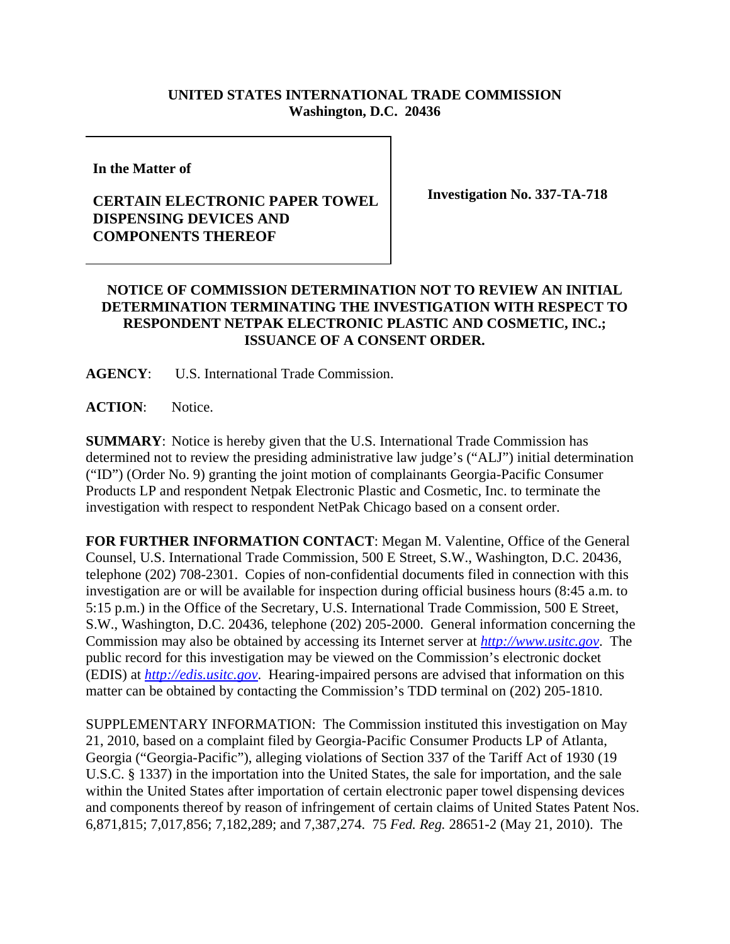## **UNITED STATES INTERNATIONAL TRADE COMMISSION Washington, D.C. 20436**

**In the Matter of** 

## **CERTAIN ELECTRONIC PAPER TOWEL DISPENSING DEVICES AND COMPONENTS THEREOF**

**Investigation No. 337-TA-718**

## **NOTICE OF COMMISSION DETERMINATION NOT TO REVIEW AN INITIAL DETERMINATION TERMINATING THE INVESTIGATION WITH RESPECT TO RESPONDENT NETPAK ELECTRONIC PLASTIC AND COSMETIC, INC.; ISSUANCE OF A CONSENT ORDER.**

**AGENCY**: U.S. International Trade Commission.

**ACTION**: Notice.

**SUMMARY**: Notice is hereby given that the U.S. International Trade Commission has determined not to review the presiding administrative law judge's ("ALJ") initial determination ("ID") (Order No. 9) granting the joint motion of complainants Georgia-Pacific Consumer Products LP and respondent Netpak Electronic Plastic and Cosmetic, Inc. to terminate the investigation with respect to respondent NetPak Chicago based on a consent order.

**FOR FURTHER INFORMATION CONTACT**: Megan M. Valentine, Office of the General Counsel, U.S. International Trade Commission, 500 E Street, S.W., Washington, D.C. 20436, telephone (202) 708-2301. Copies of non-confidential documents filed in connection with this investigation are or will be available for inspection during official business hours (8:45 a.m. to 5:15 p.m.) in the Office of the Secretary, U.S. International Trade Commission, 500 E Street, S.W., Washington, D.C. 20436, telephone (202) 205-2000. General information concerning the Commission may also be obtained by accessing its Internet server at *http://www.usitc.gov*. The public record for this investigation may be viewed on the Commission's electronic docket (EDIS) at *http://edis.usitc.gov*. Hearing-impaired persons are advised that information on this matter can be obtained by contacting the Commission's TDD terminal on (202) 205-1810.

SUPPLEMENTARY INFORMATION: The Commission instituted this investigation on May 21, 2010, based on a complaint filed by Georgia-Pacific Consumer Products LP of Atlanta, Georgia ("Georgia-Pacific"), alleging violations of Section 337 of the Tariff Act of 1930 (19 U.S.C. § 1337) in the importation into the United States, the sale for importation, and the sale within the United States after importation of certain electronic paper towel dispensing devices and components thereof by reason of infringement of certain claims of United States Patent Nos. 6,871,815; 7,017,856; 7,182,289; and 7,387,274. 75 *Fed. Reg.* 28651-2 (May 21, 2010). The